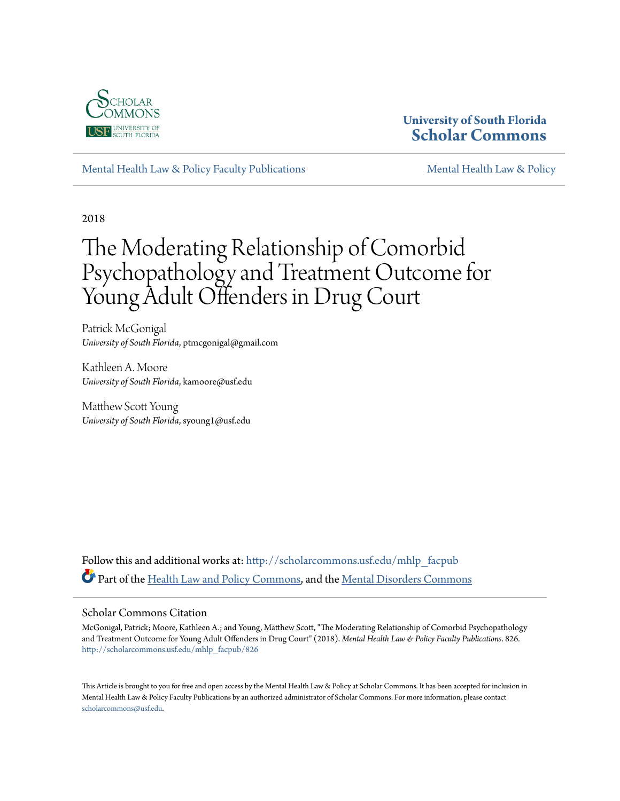

# **University of South Florida [Scholar Commons](http://scholarcommons.usf.edu?utm_source=scholarcommons.usf.edu%2Fmhlp_facpub%2F826&utm_medium=PDF&utm_campaign=PDFCoverPages)**

[Mental Health Law & Policy Faculty Publications](http://scholarcommons.usf.edu/mhlp_facpub?utm_source=scholarcommons.usf.edu%2Fmhlp_facpub%2F826&utm_medium=PDF&utm_campaign=PDFCoverPages) [Mental Health Law & Policy](http://scholarcommons.usf.edu/mhlp?utm_source=scholarcommons.usf.edu%2Fmhlp_facpub%2F826&utm_medium=PDF&utm_campaign=PDFCoverPages)

2018

# The Moderating Relationship of Comorbid Psychopathology and Treatment Outcome for Young Adult Offenders in Drug Court

Patrick McGonigal *University of South Florida*, ptmcgonigal@gmail.com

Kathleen A. Moore *University of South Florida*, kamoore@usf.edu

Matthew Scott Young *University of South Florida*, syoung1@usf.edu

Follow this and additional works at: [http://scholarcommons.usf.edu/mhlp\\_facpub](http://scholarcommons.usf.edu/mhlp_facpub?utm_source=scholarcommons.usf.edu%2Fmhlp_facpub%2F826&utm_medium=PDF&utm_campaign=PDFCoverPages) Part of the [Health Law and Policy Commons](http://network.bepress.com/hgg/discipline/901?utm_source=scholarcommons.usf.edu%2Fmhlp_facpub%2F826&utm_medium=PDF&utm_campaign=PDFCoverPages), and the [Mental Disorders Commons](http://network.bepress.com/hgg/discipline/968?utm_source=scholarcommons.usf.edu%2Fmhlp_facpub%2F826&utm_medium=PDF&utm_campaign=PDFCoverPages)

## Scholar Commons Citation

McGonigal, Patrick; Moore, Kathleen A.; and Young, Matthew Scott, "The Moderating Relationship of Comorbid Psychopathology and Treatment Outcome for Young Adult Offenders in Drug Court" (2018). *Mental Health Law & Policy Faculty Publications*. 826. [http://scholarcommons.usf.edu/mhlp\\_facpub/826](http://scholarcommons.usf.edu/mhlp_facpub/826?utm_source=scholarcommons.usf.edu%2Fmhlp_facpub%2F826&utm_medium=PDF&utm_campaign=PDFCoverPages)

This Article is brought to you for free and open access by the Mental Health Law & Policy at Scholar Commons. It has been accepted for inclusion in Mental Health Law & Policy Faculty Publications by an authorized administrator of Scholar Commons. For more information, please contact [scholarcommons@usf.edu](mailto:scholarcommons@usf.edu).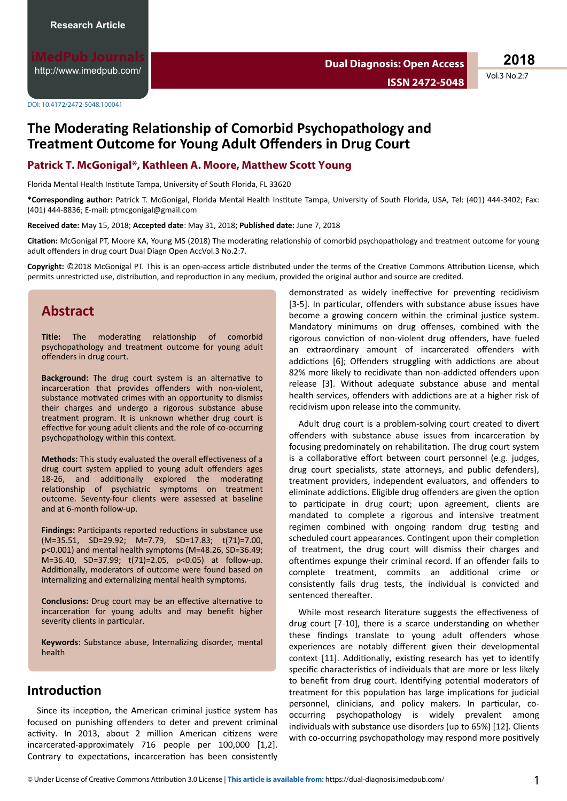<http://www.imedpub.com/>

**Dual Diagnosis: Open Access ISSN 2472-5048**

**2018**

Vol.3 No.2:7

DOI: 10.4172/2472-5048.100041

# **The Moderating Relationship of Comorbid Psychopathology and Treatment Outcome for Young Adult Offenders in Drug Court**

## **Patrick T. McGonigal\*, Kathleen A. Moore, Matthew Scott Young**

Florida Mental Health Institute Tampa, University of South Florida, FL 33620

\*Corresponding author: Patrick T. McGonigal, Florida Mental Health Institute Tampa, University of South Florida, USA, Tel: (401) 444-3402; Fax: (401) 444-8836; E-mail: ptmcgonigal@gmail.com

**Received date:** May 15, 2018; **Accepted date**: May 31, 2018; **Published date:** June 7, 2018

Citation: McGonigal PT, Moore KA, Young MS (2018) The moderating relationship of comorbid psychopathology and treatment outcome for young adult offenders in drug court Dual Diagn Open AccVol.3 No.2:7.

Copyright: ©2018 McGonigal PT. This is an open-access article distributed under the terms of the Creative Commons Attribution License, which permits unrestricted use, distribution, and reproduction in any medium, provided the original author and source are credited.

# **Abstract**

Title: The moderating relationship of comorbid psychopathology and treatment outcome for young adult offenders in drug court.

Background: The drug court system is an alternative to incarceration that provides offenders with non-violent, substance motivated crimes with an opportunity to dismiss their charges and undergo a rigorous substance abuse treatment program. It is unknown whether drug court is effective for young adult clients and the role of co-occurring psychopathology within this context.

**Methods:** This study evaluated the overall effectiveness of a drug court system applied to young adult offenders ages 18-26, and additionally explored the moderating relationship of psychiatric symptoms on treatment outcome. Seventy-four clients were assessed at baseline and at 6-month follow-up.

Findings: Participants reported reductions in substance use (M=35.51, SD=29.92; M=7.79, SD=17.83; t(71)=7.00, p<0.001) and mental health symptoms (M=48.26, SD=36.49; M=36.40, SD=37.99; t(71)=2.05, p<0.05) at follow-up. Additionally, moderators of outcome were found based on internalizing and externalizing mental health symptoms.

**Conclusions:** Drug court may be an effective alternative to incarceration for young adults and may benefit higher severity clients in particular.

**Keywords**: Substance abuse, Internalizing disorder, mental health

# **Introduction**

Since its inception, the American criminal justice system has focused on punishing offenders to deter and prevent criminal activity. In 2013, about 2 million American citizens were incarcerated-approximately 716 people per 100,000 [1,2]. Contrary to expectations, incarceration has been consistently

demonstrated as widely ineffective for preventing recidivism [3-5]. In particular, offenders with substance abuse issues have become a growing concern within the criminal justice system. Mandatory minimums on drug offenses, combined with the rigorous conviction of non-violent drug offenders, have fueled an extraordinary amount of incarcerated offenders with addictions [6]; Offenders struggling with addictions are about 82% more likely to recidivate than non-addicted offenders upon release [3]. Without adequate substance abuse and mental health services, offenders with addictions are at a higher risk of recidivism upon release into the community.

Adult drug court is a problem-solving court created to divert offenders with substance abuse issues from incarceration by focusing predominately on rehabilitation. The drug court system is a collaborative effort between court personnel (e.g. judges, drug court specialists, state attorneys, and public defenders), treatment providers, independent evaluators, and offenders to eliminate addictions. Eligible drug offenders are given the option to participate in drug court; upon agreement, clients are mandated to complete a rigorous and intensive treatment regimen combined with ongoing random drug testing and scheduled court appearances. Contingent upon their completion of treatment, the drug court will dismiss their charges and oftentimes expunge their criminal record. If an offender fails to complete treatment, commits an additional crime or consistently fails drug tests, the individual is convicted and sentenced thereafter.

While most research literature suggests the effectiveness of drug court [7-10], there is a scarce understanding on whether these findings translate to young adult offenders whose experiences are notably different given their developmental context [11]. Additionally, existing research has yet to identify specific characteristics of individuals that are more or less likely to benefit from drug court. Identifying potential moderators of treatment for this population has large implications for judicial personnel, clinicians, and policy makers. In particular, cooccurring psychopathology is widely prevalent among individuals with substance use disorders (up to 65%) [12]. Clients with co-occurring psychopathology may respond more positively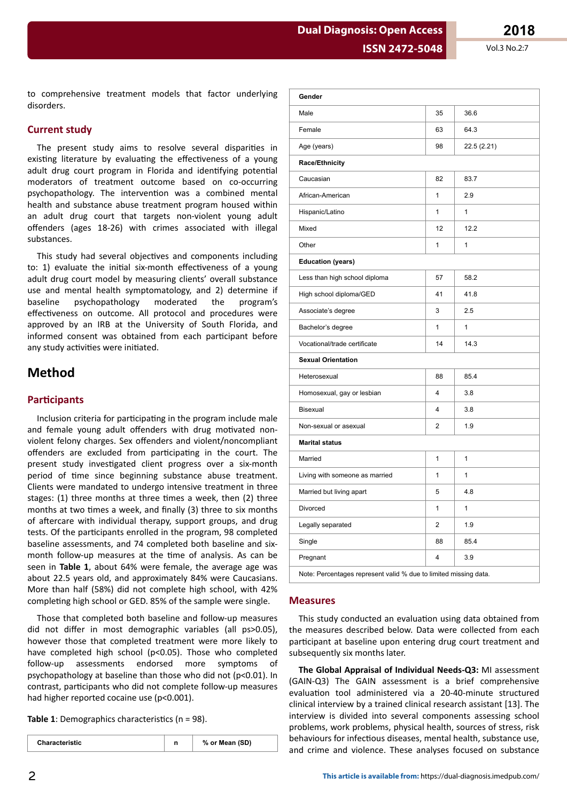Vol.3 No.2:7

to comprehensive treatment models that factor underlying disorders.

#### **Current study**

The present study aims to resolve several disparities in existing literature by evaluating the effectiveness of a young adult drug court program in Florida and identifying potential moderators of treatment outcome based on co-occurring psychopathology. The intervention was a combined mental health and substance abuse treatment program housed within an adult drug court that targets non-violent young adult offenders (ages 18-26) with crimes associated with illegal substances.

This study had several objectives and components including to: 1) evaluate the initial six-month effectiveness of a young adult drug court model by measuring clients' overall substance use and mental health symptomatology, and 2) determine if baseline psychopathology moderated the program's effectiveness on outcome. All protocol and procedures were approved by an IRB at the University of South Florida, and informed consent was obtained from each participant before any study activities were initiated.

# **Method**

## **Participants**

Inclusion criteria for participating in the program include male and female young adult offenders with drug motivated nonviolent felony charges. Sex offenders and violent/noncompliant offenders are excluded from participating in the court. The present study investigated client progress over a six-month period of time since beginning substance abuse treatment. Clients were mandated to undergo intensive treatment in three stages: (1) three months at three times a week, then (2) three months at two times a week, and finally (3) three to six months of aftercare with individual therapy, support groups, and drug tests. Of the participants enrolled in the program, 98 completed baseline assessments, and 74 completed both baseline and sixmonth follow-up measures at the time of analysis. As can be seen in Table 1, about 64% were female, the average age was about 22.5 years old, and approximately 84% were Caucasians. More than half (58%) did not complete high school, with 42% completing high school or GED. 85% of the sample were single.

Those that completed both baseline and follow-up measures did not differ in most demographic variables (all ps>0.05), however those that completed treatment were more likely to have completed high school (p<0.05). Those who completed follow-up assessments endorsed more symptoms റf psychopathology at baseline than those who did not (p<0.01). In contrast, participants who did not complete follow-up measures had higher reported cocaine use (p<0.001).

Table 1: Demographics characteristics ( $n = 98$ ).

| Gender                                                           |    |              |  |  |  |  |  |  |
|------------------------------------------------------------------|----|--------------|--|--|--|--|--|--|
| Male                                                             | 35 | 36.6         |  |  |  |  |  |  |
| Female                                                           | 63 | 64.3         |  |  |  |  |  |  |
| Age (years)                                                      | 98 | 22.5 (2.21)  |  |  |  |  |  |  |
| Race/Ethnicity                                                   |    |              |  |  |  |  |  |  |
| Caucasian                                                        | 82 | 83.7         |  |  |  |  |  |  |
| African-American                                                 | 1  | 2.9          |  |  |  |  |  |  |
| Hispanic/Latino                                                  | 1  | $\mathbf{1}$ |  |  |  |  |  |  |
| Mixed                                                            | 12 | 12.2         |  |  |  |  |  |  |
| Other                                                            | 1  | 1            |  |  |  |  |  |  |
| <b>Education (years)</b>                                         |    |              |  |  |  |  |  |  |
| Less than high school diploma                                    | 57 | 58.2         |  |  |  |  |  |  |
| High school diploma/GED                                          | 41 | 41.8         |  |  |  |  |  |  |
| Associate's degree                                               | 3  | 2.5          |  |  |  |  |  |  |
| Bachelor's degree                                                | 1  | 1            |  |  |  |  |  |  |
| Vocational/trade certificate                                     | 14 | 14.3         |  |  |  |  |  |  |
| <b>Sexual Orientation</b>                                        |    |              |  |  |  |  |  |  |
| Heterosexual                                                     | 88 | 85.4         |  |  |  |  |  |  |
| Homosexual, gay or lesbian                                       | 4  | 3.8          |  |  |  |  |  |  |
| <b>Bisexual</b>                                                  | 4  | 3.8          |  |  |  |  |  |  |
| Non-sexual or asexual                                            | 2  | 1.9          |  |  |  |  |  |  |
| <b>Marital status</b>                                            |    |              |  |  |  |  |  |  |
| Married                                                          | 1  | $\mathbf{1}$ |  |  |  |  |  |  |
| Living with someone as married                                   | 1  | 1            |  |  |  |  |  |  |
| Married but living apart                                         | 5  | 4.8          |  |  |  |  |  |  |
| Divorced                                                         | 1  | $\mathbf{1}$ |  |  |  |  |  |  |
| Legally separated                                                | 2  | 1.9          |  |  |  |  |  |  |
| Single                                                           | 88 | 85.4         |  |  |  |  |  |  |
| Pregnant                                                         | 4  | 3.9          |  |  |  |  |  |  |
| Note: Percentages represent valid % due to limited missing data. |    |              |  |  |  |  |  |  |

## **Measures**

This study conducted an evaluation using data obtained from the measures described below. Data were collected from each participant at baseline upon entering drug court treatment and subsequently six months later.

The Global Appraisal of Individual Needs-Q3: MI assessment (GAIN-Q3) The GAIN assessment is a brief comprehensive evaluation tool administered via a 20-40-minute structured clinical interview by a trained clinical research assistant [13]. The interview is divided into several components assessing school problems, work problems, physical health, sources of stress, risk behaviours for infectious diseases, mental health, substance use, and crime and violence. These analyses focused on substance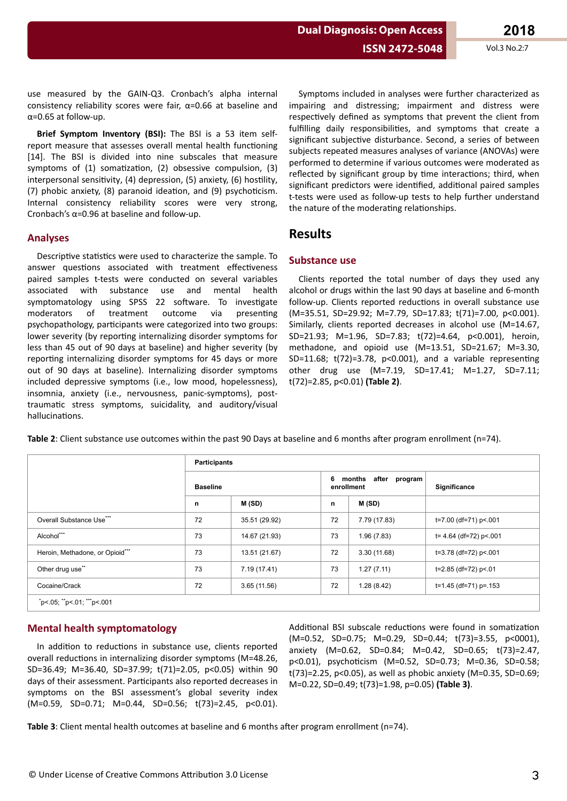**Dual Diagnosis: Open Access**

use measured by the GAIN-Q3. Cronbach's alpha internal consistency reliability scores were fair,  $\alpha$ =0.66 at baseline and α=0.65 at follow-up.

**Brief Symptom Inventory (BSI):** The BSI is a 53 item selfreport measure that assesses overall mental health functioning [14]. The BSI is divided into nine subscales that measure symptoms of (1) somatization, (2) obsessive compulsion, (3) interpersonal sensitivity, (4) depression, (5) anxiety, (6) hostility, (7) phobic anxiety,  $(8)$  paranoid ideation, and  $(9)$  psychoticism. Internal consistency reliability scores were very strong, Cronbach's  $\alpha$ =0.96 at baseline and follow-up.

## **Analyses**

Descriptive statistics were used to characterize the sample. To answer questions associated with treatment effectiveness paired samples t-tests were conducted on several variables associated with substance use and mental health symptomatology using SPSS 22 software. To investigate moderators of treatment outcome via presenting psychopathology, participants were categorized into two groups: lower severity (by reporting internalizing disorder symptoms for less than 45 out of 90 days at baseline) and higher severity (by reporting internalizing disorder symptoms for 45 days or more out of 90 days at baseline). Internalizing disorder symptoms included depressive symptoms (i.e., low mood, hopelessness), insomnia, anxiety (i.e., nervousness, panic-symptoms), posttraumatic stress symptoms, suicidality, and auditory/visual hallucinations.

Symptoms included in analyses were further characterized as impairing and distressing; impairment and distress were respectively defined as symptoms that prevent the client from fulfilling daily responsibilities, and symptoms that create a significant subjective disturbance. Second, a series of between subjects repeated measures analyses of variance (ANOVAs) were performed to determine if various outcomes were moderated as reflected by significant group by time interactions: third, when significant predictors were identified, additional paired samples t-tests were used as follow-up tests to help further understand the nature of the moderating relationships.

## **Results**

## **Substance use**

Clients reported the total number of days they used any alcohol or drugs within the last 90 days at baseline and 6-month follow-up. Clients reported reductions in overall substance use (M=35.51, SD=29.92; M=7.79, SD=17.83; t(71)=7.00, p<0.001). Similarly, clients reported decreases in alcohol use (M=14.67, SD=21.93; M=1.96, SD=7.83; t(72)=4.64, p<0.001), heroin, methadone, and opioid use (M=13.51, SD=21.67; M=3.30, SD=11.68; t(72)=3.78, p<0.001), and a variable representing other drug use (M=7.19, SD=17.41; M=1.27, SD=7.11; t(72)=2.85, p<0.01) **(Table 2)**.

Table 2: Client substance use outcomes within the past 90 Days at baseline and 6 months after program enrollment (n=74).

|                                                              |    | <b>Participants</b> |    |                                       |                            |  |  |  |  |
|--------------------------------------------------------------|----|---------------------|----|---------------------------------------|----------------------------|--|--|--|--|
|                                                              |    | <b>Baseline</b>     |    | after program<br>months<br>enrollment | Significance               |  |  |  |  |
|                                                              | n  | M(SD)               | n  | M(SD)                                 |                            |  |  |  |  |
| Overall Substance Use***                                     | 72 | 35.51 (29.92)       | 72 | 7.79 (17.83)                          | t=7.00 (df=71) p<.001      |  |  |  |  |
| Alcohol***                                                   | 73 | 14.67 (21.93)       | 73 | 1.96(7.83)                            | $t = 4.64$ (df=72) p < 001 |  |  |  |  |
| Heroin, Methadone, or Opioid***                              | 73 | 13.51 (21.67)       | 72 | 3.30(11.68)                           | t=3.78 (df=72) p<.001      |  |  |  |  |
| Other drug use**                                             | 73 | 7.19 (17.41)        | 73 | 1.27(7.11)                            | t=2.85 (df=72) p<.01       |  |  |  |  |
| Cocaine/Crack                                                | 72 | 3.65(11.56)         | 72 | 1.28(8.42)                            | t=1.45 (df=71) p=.153      |  |  |  |  |
| $i$ p<.05; $i$ <sup>*</sup> p<.01; $i$ <sup>***</sup> p<.001 |    |                     |    |                                       |                            |  |  |  |  |

## **Mental health symptomatology**

In addition to reductions in substance use, clients reported overall reductions in internalizing disorder symptoms (M=48.26, SD=36.49; M=36.40, SD=37.99; t(71)=2.05, p<0.05) within 90 days of their assessment. Participants also reported decreases in symptoms on the BSI assessment's global severity index (M=0.59, SD=0.71; M=0.44, SD=0.56; t(73)=2.45, p<0.01). Additional BSI subscale reductions were found in somatization (M=0.52, SD=0.75; M=0.29, SD=0.44; t(73)=3.55, p<0001), anxiety (M=0.62, SD=0.84; M=0.42, SD=0.65; t(73)=2.47, p<0.01), psychoticism (M=0.52, SD=0.73; M=0.36, SD=0.58; t(73)=2.25, p<0.05), as well as phobic anxiety (M=0.35, SD=0.69; M=0.22, SD=0.49; t(73)=1.98, p=0.05) **(Table 3)**.

**Table 3**: Client mental health outcomes at baseline and 6 months after program enrollment (n=74).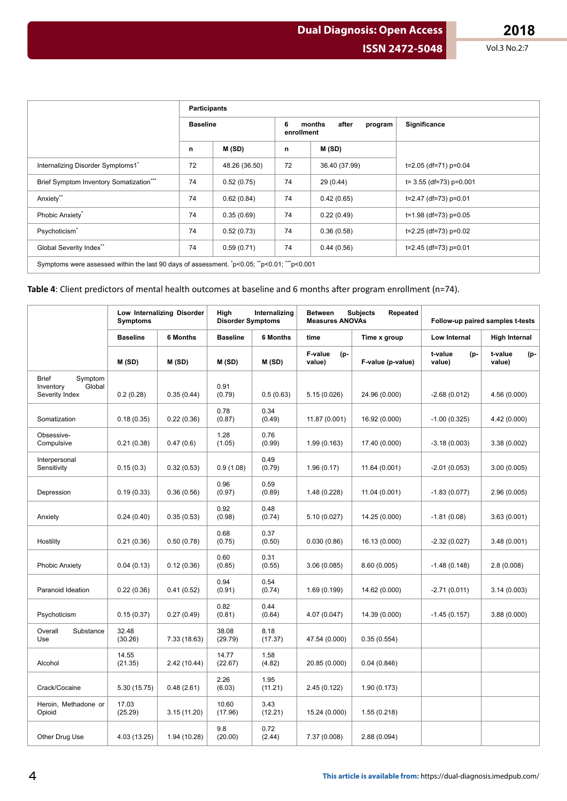**Dual Diagnosis: Open Access**

|                                                                                               | <b>Participants</b> |               |                 |                            |                           |  |
|-----------------------------------------------------------------------------------------------|---------------------|---------------|-----------------|----------------------------|---------------------------|--|
|                                                                                               | <b>Baseline</b>     |               | 6<br>enrollment | after<br>months<br>program | Significance              |  |
|                                                                                               | n                   | M(SD)         | n               | M (SD)                     |                           |  |
| Internalizing Disorder Symptoms1*                                                             | 72                  | 48.26 (36.50) | 72              | 36.40 (37.99)              | t=2.05 (df=71) p=0.04     |  |
| Brief Symptom Inventory Somatization***                                                       | 74                  | 0.52(0.75)    | 74              | 29 (0.44)                  | $t=$ 3.55 (df=73) p=0.001 |  |
| Anxiety**                                                                                     | 74                  | 0.62(0.84)    | 74              | 0.42(0.65)                 | $t=2.47$ (df=73) p=0.01   |  |
| Phobic Anxiety <sup>*</sup>                                                                   | 74                  | 0.35(0.69)    | 74              | 0.22(0.49)                 | t=1.98 (df=73) p=0.05     |  |
| Psychoticism <sup>*</sup>                                                                     | 74                  | 0.52(0.73)    | 74              | 0.36(0.58)                 | t=2.25 (df=73) p=0.02     |  |
| Global Severity Index**                                                                       | 74                  | 0.59(0.71)    | 74              | 0.44(0.56)                 | $t=2.45$ (df=73) p=0.01   |  |
| Symptoms were assessed within the last 90 days of assessment. $p<0.05$ ; $p<0.01$ ; $p<0.001$ |                     |               |                 |                            |                           |  |

Table 4: Client predictors of mental health outcomes at baseline and 6 months after program enrollment (n=74).

|                                                                  | Low Internalizing Disorder<br><b>Symptoms</b> |                 | Internalizing<br>High<br><b>Disorder Symptoms</b> |                 | <b>Subjects</b><br>Repeated<br><b>Between</b><br><b>Measures ANOVAs</b> |                   | Follow-up paired samples t-tests |                          |
|------------------------------------------------------------------|-----------------------------------------------|-----------------|---------------------------------------------------|-----------------|-------------------------------------------------------------------------|-------------------|----------------------------------|--------------------------|
|                                                                  | <b>Baseline</b>                               | <b>6 Months</b> | <b>Baseline</b>                                   | <b>6 Months</b> | time                                                                    | Time x group      | <b>Low Internal</b>              |                          |
|                                                                  | M(SD)                                         | M(SD)           | M(SD)                                             | M(SD)           | F-value<br>(p-<br>value)                                                | F-value (p-value) | t-value<br>(p-<br>value)         | t-value<br>(p-<br>value) |
| <b>Brief</b><br>Symptom<br>Inventory<br>Global<br>Severity Index | 0.2(0.28)                                     | 0.35(0.44)      | 0.91<br>(0.79)                                    | 0.5(0.63)       | 5.15 (0.026)                                                            | 24.96 (0.000)     | $-2.68(0.012)$                   | 4.56 (0.000)             |
| Somatization                                                     | 0.18(0.35)                                    | 0.22(0.36)      | 0.78<br>(0.87)                                    | 0.34<br>(0.49)  | 11.87 (0.001)                                                           | 16.92 (0.000)     | $-1.00(0.325)$                   | 4.42 (0.000)             |
| Obsessive-<br>Compulsive                                         | 0.21(0.38)                                    | 0.47(0.6)       | 1.28<br>(1.05)                                    | 0.76<br>(0.99)  | 1.99(0.163)                                                             | 17.40 (0.000)     | $-3.18(0.003)$                   | 3.38(0.002)              |
| Interpersonal<br>Sensitivity                                     | 0.15(0.3)                                     | 0.32(0.53)      | 0.9(1.08)                                         | 0.49<br>(0.79)  | 1.96(0.17)                                                              | 11.64 (0.001)     | $-2.01(0.053)$                   | 3.00(0.005)              |
| Depression                                                       | 0.19(0.33)                                    | 0.36(0.56)      | 0.96<br>(0.97)                                    | 0.59<br>(0.89)  | 1.48 (0.228)                                                            | 11.04 (0.001)     | $-1.83(0.077)$                   | 2.96 (0.005)             |
| Anxiety                                                          | 0.24(0.40)                                    | 0.35(0.53)      | 0.92<br>(0.98)                                    | 0.48<br>(0.74)  | 5.10 (0.027)                                                            | 14.25 (0.000)     | $-1.81(0.08)$                    | 3.63(0.001)              |
| Hostility                                                        | 0.21(0.36)                                    | 0.50(0.78)      | 0.68<br>(0.75)                                    | 0.37<br>(0.50)  | 0.030(0.86)                                                             | 16.13 (0.000)     | $-2.32(0.027)$                   | 3.48(0.001)              |
| <b>Phobic Anxiety</b>                                            | 0.04(0.13)                                    | 0.12(0.36)      | 0.60<br>(0.85)                                    | 0.31<br>(0.55)  | 3.06 (0.085)                                                            | 8.60 (0.005)      | $-1.48(0.148)$                   | 2.8(0.008)               |
| Paranoid Ideation                                                | 0.22(0.36)                                    | 0.41(0.52)      | 0.94<br>(0.91)                                    | 0.54<br>(0.74)  | 1.69(0.199)                                                             | 14.62 (0.000)     | $-2.71(0.011)$                   | 3.14(0.003)              |
| Psychoticism                                                     | 0.15(0.37)                                    | 0.27(0.49)      | 0.82<br>(0.81)                                    | 0.44<br>(0.64)  | 4.07 (0.047)                                                            | 14.39 (0.000)     | $-1.45(0.157)$                   | 3.88(0.000)              |
| Overall<br>Substance<br>Use                                      | 32.48<br>(30.26)                              | 7.33 (18.63)    | 38.08<br>(29.79)                                  | 8.18<br>(17.37) | 47.54 (0.000)                                                           | 0.35(0.554)       |                                  |                          |
| Alcohol                                                          | 14.55<br>(21.35)                              | 2.42 (10.44)    | 14.77<br>(22.67)                                  | 1.58<br>(4.82)  | 20.85 (0.000)                                                           | 0.04(0.846)       |                                  |                          |
| Crack/Cocaine                                                    | 5.30 (15.75)                                  | 0.48(2.61)      | 2.26<br>(6.03)                                    | 1.95<br>(11.21) | 2.45(0.122)                                                             | 1.90(0.173)       |                                  |                          |
| Heroin, Methadone or<br>Opioid                                   | 17.03<br>(25.29)                              | 3.15 (11.20)    | 10.60<br>(17.96)                                  | 3.43<br>(12.21) | 15.24 (0.000)                                                           | 1.55(0.218)       |                                  |                          |
| Other Drug Use                                                   | 4.03 (13.25)                                  | 1.94 (10.28)    | 9.8<br>(20.00)                                    | 0.72<br>(2.44)  | 7.37 (0.008)                                                            | 2.88 (0.094)      |                                  |                          |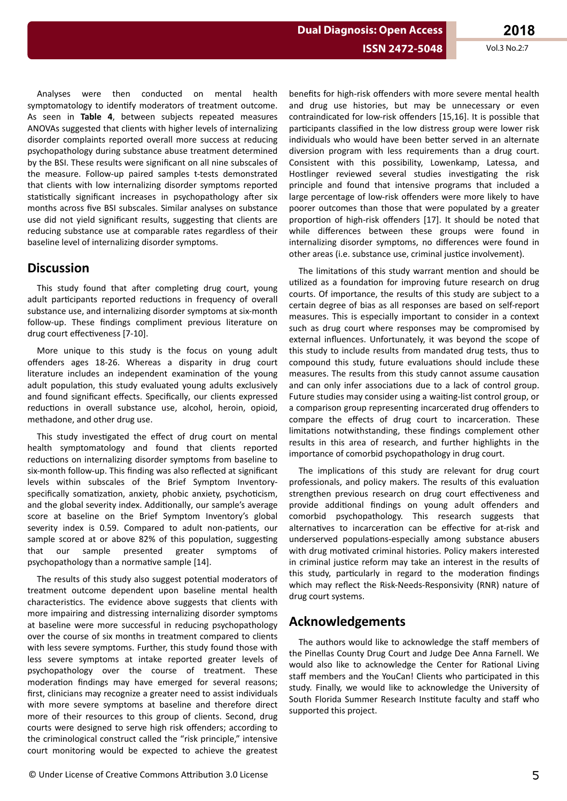## **ISSN 2472-5048**

Vol.3 No.2:7

Analyses were then conducted on mental health symptomatology to identify moderators of treatment outcome. As seen in Table 4, between subjects repeated measures ANOVAs suggested that clients with higher levels of internalizing disorder complaints reported overall more success at reducing psychopathology during substance abuse treatment determined by the BSI. These results were significant on all nine subscales of the measure. Follow-up paired samples t-tests demonstrated that clients with low internalizing disorder symptoms reported statistically significant increases in psychopathology after six months across five BSI subscales. Similar analyses on substance use did not yield significant results, suggesting that clients are reducing substance use at comparable rates regardless of their baseline level of internalizing disorder symptoms.

## **Discussion**

This study found that after completing drug court, young adult participants reported reductions in frequency of overall substance use, and internalizing disorder symptoms at six-month follow-up. These findings compliment previous literature on drug court effectiveness [7-10].

More unique to this study is the focus on young adult offenders ages 18-26. Whereas a disparity in drug court literature includes an independent examination of the young adult population, this study evaluated young adults exclusively and found significant effects. Specifically, our clients expressed reductions in overall substance use, alcohol, heroin, opioid, methadone, and other drug use.

This study investigated the effect of drug court on mental health symptomatology and found that clients reported reductions on internalizing disorder symptoms from baseline to six-month follow-up. This finding was also reflected at significant levels within subscales of the Brief Symptom Inventoryspecifically somatization, anxiety, phobic anxiety, psychoticism, and the global severity index. Additionally, our sample's average score at baseline on the Brief Symptom Inventory's global severity index is 0.59. Compared to adult non-patients, our sample scored at or above 82% of this population, suggesting sample presented that our greater symptoms  $\Omega$ psychopathology than a normative sample [14].

The results of this study also suggest potential moderators of treatment outcome dependent upon baseline mental health characteristics. The evidence above suggests that clients with more impairing and distressing internalizing disorder symptoms at baseline were more successful in reducing psychopathology over the course of six months in treatment compared to clients with less severe symptoms. Further, this study found those with less severe symptoms at intake reported greater levels of psychopathology over the course of treatment. These moderation findings may have emerged for several reasons; first, clinicians may recognize a greater need to assist individuals with more severe symptoms at baseline and therefore direct more of their resources to this group of clients. Second, drug courts were designed to serve high risk offenders; according to the criminological construct called the "risk principle," intensive court monitoring would be expected to achieve the greatest benefits for high-risk offenders with more severe mental health and drug use histories, but may be unnecessary or even contraindicated for low-risk offenders [15,16]. It is possible that participants classified in the low distress group were lower risk individuals who would have been better served in an alternate diversion program with less requirements than a drug court. Consistent with this possibility, Lowenkamp, Latessa, and Hostlinger reviewed several studies investigating the risk principle and found that intensive programs that included a large percentage of low-risk offenders were more likely to have poorer outcomes than those that were populated by a greater proportion of high-risk offenders [17]. It should be noted that while differences between these groups were found in internalizing disorder symptoms, no differences were found in other areas (i.e. substance use, criminal justice involvement).

The limitations of this study warrant mention and should be utilized as a foundation for improving future research on drug courts. Of importance, the results of this study are subject to a certain degree of bias as all responses are based on self-report measures. This is especially important to consider in a context such as drug court where responses may be compromised by external influences. Unfortunately, it was beyond the scope of this study to include results from mandated drug tests, thus to compound this study, future evaluations should include these measures. The results from this study cannot assume causation and can only infer associations due to a lack of control group. Future studies may consider using a waiting-list control group, or a comparison group representing incarcerated drug offenders to compare the effects of drug court to incarceration. These limitations notwithstanding, these findings complement other results in this area of research, and further highlights in the importance of comorbid psychopathology in drug court.

The implications of this study are relevant for drug court professionals, and policy makers. The results of this evaluation strengthen previous research on drug court effectiveness and provide additional findings on young adult offenders and comorbid psychopathology. This research suggests that alternatives to incarceration can be effective for at-risk and underserved populations-especially among substance abusers with drug motivated criminal histories. Policy makers interested in criminal justice reform may take an interest in the results of this study, particularly in regard to the moderation findings which may reflect the Risk-Needs-Responsivity (RNR) nature of drug court systems.

# **Acknowledgements**

The authors would like to acknowledge the staff members of the Pinellas County Drug Court and Judge Dee Anna Farnell. We would also like to acknowledge the Center for Rational Living staff members and the YouCan! Clients who participated in this study. Finally, we would like to acknowledge the University of South Florida Summer Research Institute faculty and staff who supported this project.